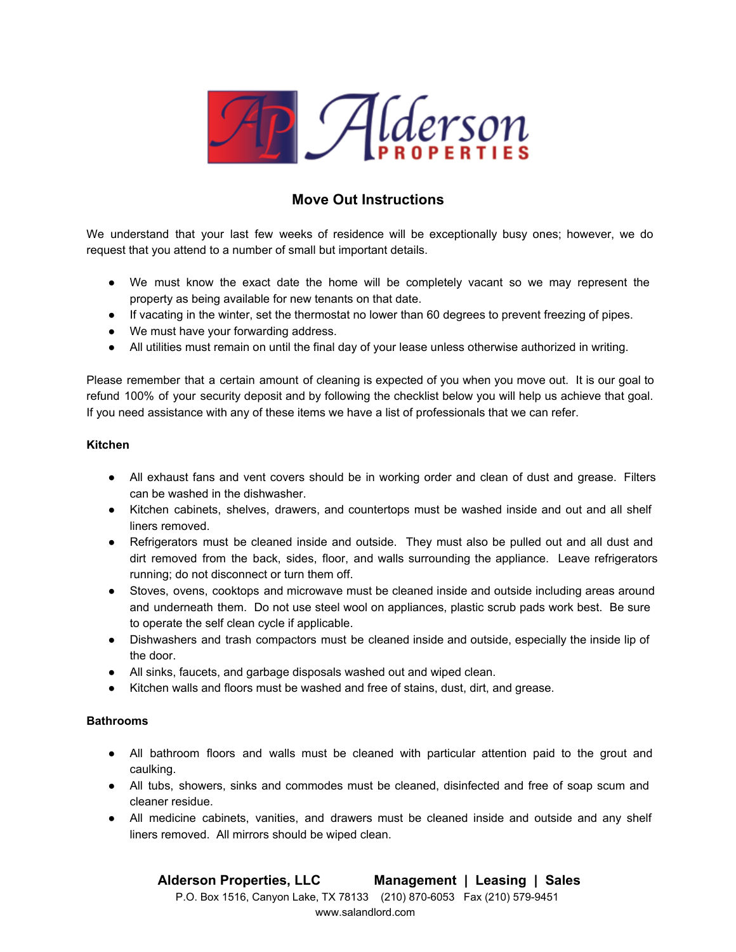

# **Move Out Instructions**

We understand that your last few weeks of residence will be exceptionally busy ones; however, we do request that you attend to a number of small but important details.

- We must know the exact date the home will be completely vacant so we may represent the property as being available for new tenants on that date.
- If vacating in the winter, set the thermostat no lower than 60 degrees to prevent freezing of pipes.
- We must have your forwarding address.
- All utilities must remain on until the final day of your lease unless otherwise authorized in writing.

Please remember that a certain amount of cleaning is expected of you when you move out. It is our goal to refund 100% of your security deposit and by following the checklist below you will help us achieve that goal. If you need assistance with any of these items we have a list of professionals that we can refer.

#### **Kitchen**

- All exhaust fans and vent covers should be in working order and clean of dust and grease. Filters can be washed in the dishwasher.
- Kitchen cabinets, shelves, drawers, and countertops must be washed inside and out and all shelf liners removed.
- Refrigerators must be cleaned inside and outside. They must also be pulled out and all dust and dirt removed from the back, sides, floor, and walls surrounding the appliance. Leave refrigerators running; do not disconnect or turn them off.
- Stoves, ovens, cooktops and microwave must be cleaned inside and outside including areas around and underneath them. Do not use steel wool on appliances, plastic scrub pads work best. Be sure to operate the self clean cycle if applicable.
- Dishwashers and trash compactors must be cleaned inside and outside, especially the inside lip of the door.
- All sinks, faucets, and garbage disposals washed out and wiped clean.
- Kitchen walls and floors must be washed and free of stains, dust, dirt, and grease.

## **Bathrooms**

- All bathroom floors and walls must be cleaned with particular attention paid to the grout and caulking.
- All tubs, showers, sinks and commodes must be cleaned, disinfected and free of soap scum and cleaner residue.
- All medicine cabinets, vanities, and drawers must be cleaned inside and outside and any shelf liners removed. All mirrors should be wiped clean.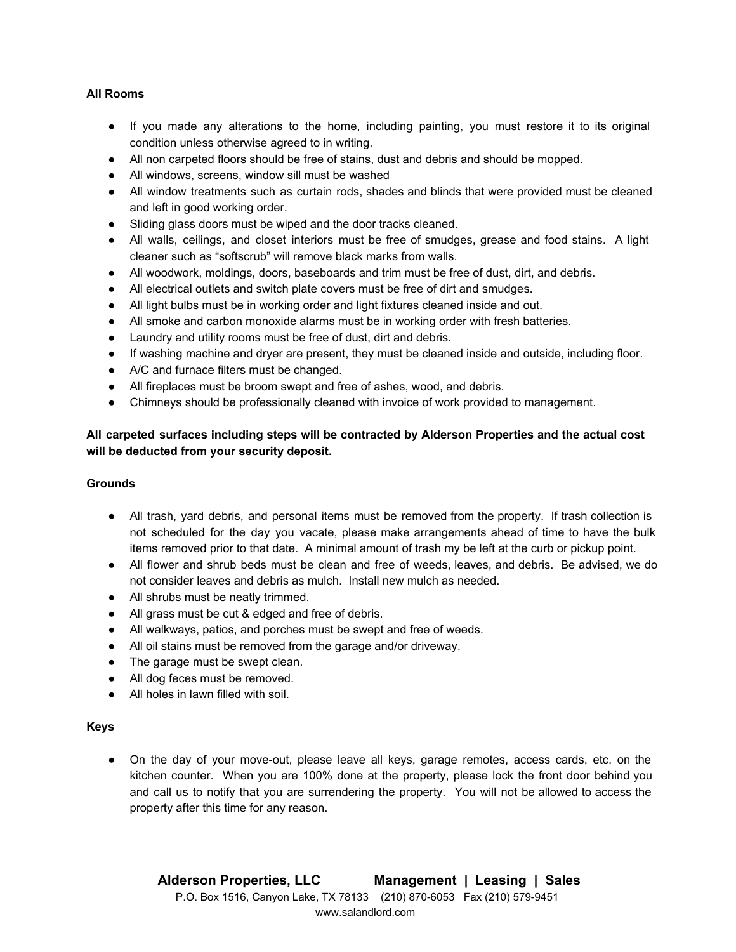# **All Rooms**

- If you made any alterations to the home, including painting, you must restore it to its original condition unless otherwise agreed to in writing.
- All non carpeted floors should be free of stains, dust and debris and should be mopped.
- All windows, screens, window sill must be washed
- All window treatments such as curtain rods, shades and blinds that were provided must be cleaned and left in good working order.
- Sliding glass doors must be wiped and the door tracks cleaned.
- All walls, ceilings, and closet interiors must be free of smudges, grease and food stains. A light cleaner such as "softscrub" will remove black marks from walls.
- All woodwork, moldings, doors, baseboards and trim must be free of dust, dirt, and debris.
- All electrical outlets and switch plate covers must be free of dirt and smudges.
- All light bulbs must be in working order and light fixtures cleaned inside and out.
- All smoke and carbon monoxide alarms must be in working order with fresh batteries.
- Laundry and utility rooms must be free of dust, dirt and debris.
- If washing machine and dryer are present, they must be cleaned inside and outside, including floor.
- A/C and furnace filters must be changed.
- All fireplaces must be broom swept and free of ashes, wood, and debris.
- Chimneys should be professionally cleaned with invoice of work provided to management.

# **All carpeted surfaces including steps will be contracted by Alderson Properties and the actual cost will be deducted from your security deposit.**

## **Grounds**

- All trash, yard debris, and personal items must be removed from the property. If trash collection is not scheduled for the day you vacate, please make arrangements ahead of time to have the bulk items removed prior to that date. A minimal amount of trash my be left at the curb or pickup point.
- All flower and shrub beds must be clean and free of weeds, leaves, and debris. Be advised, we do not consider leaves and debris as mulch. Install new mulch as needed.
- All shrubs must be neatly trimmed.
- All grass must be cut & edged and free of debris.
- All walkways, patios, and porches must be swept and free of weeds.
- All oil stains must be removed from the garage and/or driveway.
- The garage must be swept clean.
- All dog feces must be removed.
- All holes in lawn filled with soil.

## **Keys**

• On the day of your move-out, please leave all keys, garage remotes, access cards, etc. on the kitchen counter. When you are 100% done at the property, please lock the front door behind you and call us to notify that you are surrendering the property. You will not be allowed to access the property after this time for any reason.